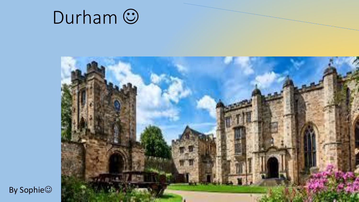



By Sophie<sup>(2)</sup>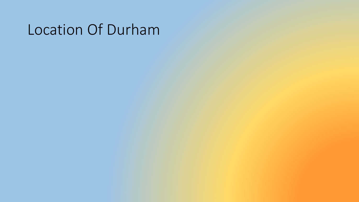#### Location Of Durham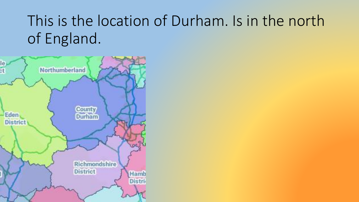# This is the location of Durham. Is in the north of England.

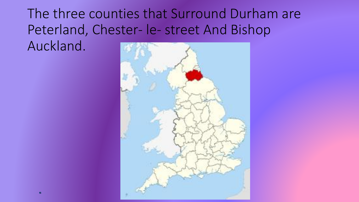The three counties that Surround Durham are Peterland, Chester- le- street And Bishop Auckland.

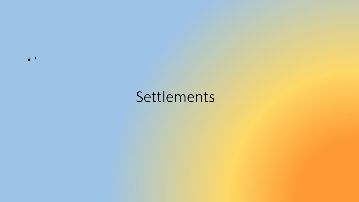Settlements

 $\bullet$  '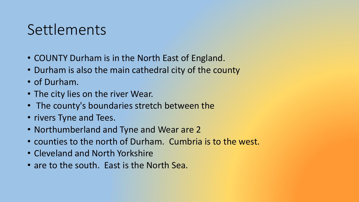### Settlements

- COUNTY Durham is in the North East of England.
- Durham is also the main cathedral city of the county
- of Durham.
- The city lies on the river Wear.
- The county's boundaries stretch between the
- rivers Tyne and Tees.
- Northumberland and Tyne and Wear are 2
- counties to the north of Durham. Cumbria is to the west.
- Cleveland and North Yorkshire
- are to the south. East is the North Sea.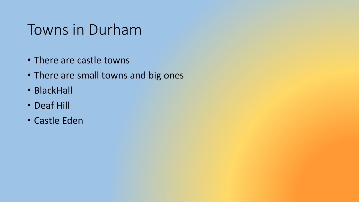#### Towns in Durham

- There are castle towns
- There are small towns and big ones
- BlackHall
- Deaf Hill
- Castle Eden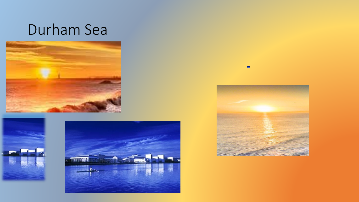#### Durham Sea









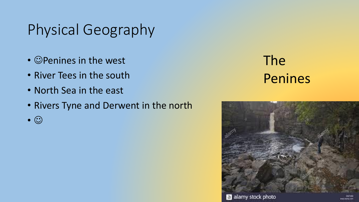# Physical Geography

- $\cdot$   $\circ$  Penines in the west
- River Tees in the south
- North Sea in the east
- Rivers Tyne and Derwent in the north
- $\bullet$   $\odot$

### The Penines

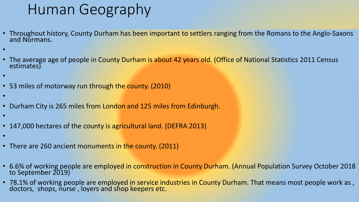## Human Geography

- Throughout history, County Durham has been important to settlers ranging from the Romans to the Anglo-Saxons and Normans.
- •
- The average age of people in County Durham is about 42 years old. (Office of National Statistics 2011 Census estimates)
- •
- 53 miles of motorway run through the county. (2010)
- •
- Durham City is 265 miles from London and 125 miles from Edinburgh.
- •
- 147,000 hectares of the county is agricultural land. (DEFRA 2013)
- •
- There are 260 ancient monuments in the county. (2011)
- 6.6% of working people are employed in construction in County Durham. (Annual Population Survey October 2018 to September 2019)
- 78.1% of working people are employed in service industries in County Durham. That means most people work as , doctors, shops, nurse , loyers and shop keepers etc.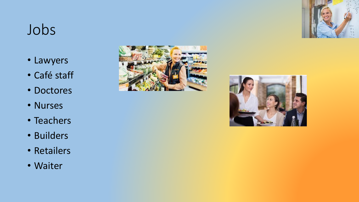## Jobs

- Lawyers
- Café staff
- Doctores
- Nurses
- Teachers
- Builders
- Retailers
- Waiter